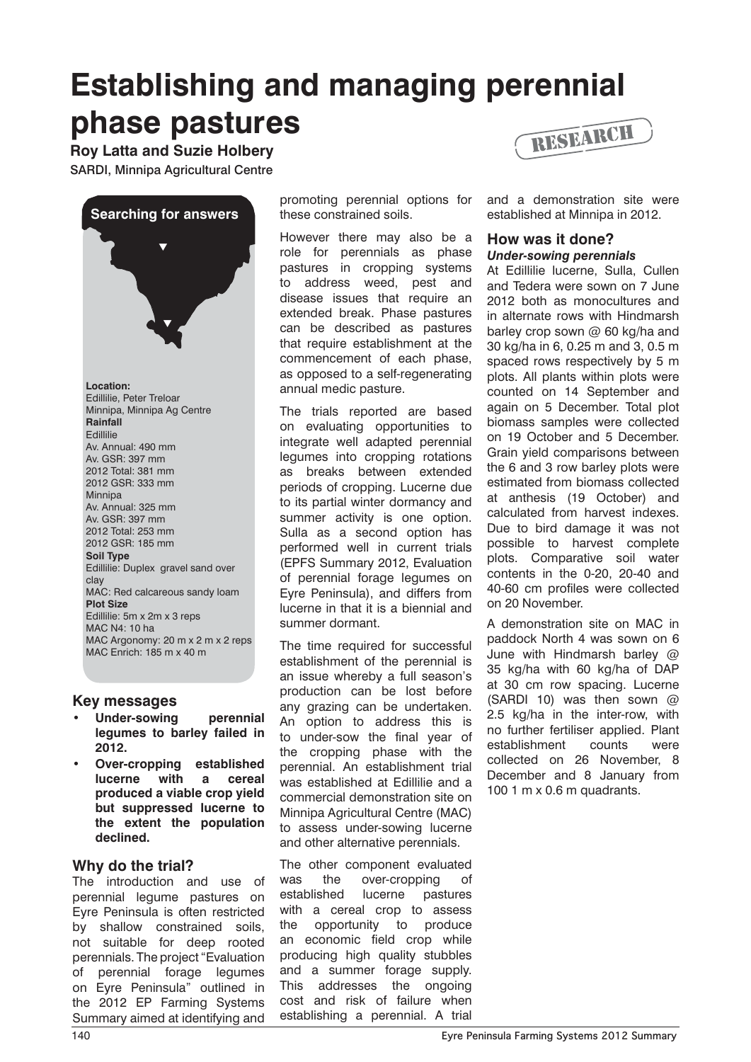# **Establishing and managing perennial phase pastures**

**Roy Latta and Suzie Holbery**

SARDI, Minnipa Agricultural Centre



**Location:**  Edillilie, Peter Treloar Minnipa, Minnipa Ag Centre **Rainfall Edillilie** Av. Annual: 490 mm Av. GSR: 397 mm 2012 Total: 381 mm 2012 GSR: 333 mm Minnipa Av. Annual: 325 mm Av. GSR: 397 mm 2012 Total: 253 mm 2012 GSR: 185 mm **Soil Type** Edillilie: Duplex gravel sand over clay MAC: Red calcareous sandy loam **Plot Size** Edillilie: 5m x 2m x 3 reps MAC N4: 10 ha MAC Argonomy: 20 m x 2 m x 2 reps MAC Enrich: 185 m x 40 m

## **Key messages**

- **Under-sowing** perennial **legumes to barley failed in 2012.**
- **Over-cropping established lucerne with a cereal produced a viable crop yield but suppressed lucerne to the extent the population declined.**

## **Why do the trial?**

The introduction and use of perennial legume pastures on Eyre Peninsula is often restricted by shallow constrained soils, not suitable for deep rooted perennials. The project "Evaluation of perennial forage legumes on Eyre Peninsula" outlined in the 2012 EP Farming Systems Summary aimed at identifying and

promoting perennial options for these constrained soils.

However there may also be a role for perennials as phase pastures in cropping systems to address weed, pest and disease issues that require an extended break. Phase pastures can be described as pastures that require establishment at the commencement of each phase, as opposed to a self-regenerating annual medic pasture.

The trials reported are based on evaluating opportunities to integrate well adapted perennial legumes into cropping rotations as breaks between extended periods of cropping. Lucerne due to its partial winter dormancy and summer activity is one option. Sulla as a second option has performed well in current trials (EPFS Summary 2012, Evaluation of perennial forage legumes on Eyre Peninsula), and differs from lucerne in that it is a biennial and summer dormant.

The time required for successful establishment of the perennial is an issue whereby a full season's production can be lost before any grazing can be undertaken. An option to address this is to under-sow the final year of the cropping phase with the perennial. An establishment trial was established at Edillilie and a commercial demonstration site on Minnipa Agricultural Centre (MAC) to assess under-sowing lucerne and other alternative perennials.

The other component evaluated was the over-cropping of established lucerne pastures with a cereal crop to assess the opportunity to produce an economic field crop while producing high quality stubbles and a summer forage supply. This addresses the ongoing cost and risk of failure when establishing a perennial. A trial



and a demonstration site were established at Minnipa in 2012.

### **How was it done?**  *Under-sowing perennials*

At Edillilie lucerne, Sulla, Cullen and Tedera were sown on 7 June 2012 both as monocultures and in alternate rows with Hindmarsh barley crop sown  $@$  60 kg/ha and 30 kg/ha in 6, 0.25 m and 3, 0.5 m spaced rows respectively by 5 m plots. All plants within plots were counted on 14 September and again on 5 December. Total plot biomass samples were collected on 19 October and 5 December. Grain yield comparisons between the 6 and 3 row barley plots were estimated from biomass collected at anthesis (19 October) and calculated from harvest indexes. Due to bird damage it was not possible to harvest complete plots. Comparative soil water contents in the 0-20, 20-40 and 40-60 cm profiles were collected on 20 November.

A demonstration site on MAC in paddock North 4 was sown on 6 June with Hindmarsh barley @ 35 kg/ha with 60 kg/ha of DAP at 30 cm row spacing. Lucerne (SARDI 10) was then sown  $\omega$ 2.5 kg/ha in the inter-row, with no further fertiliser applied. Plant establishment counts were collected on 26 November, 8 December and 8 January from 100 1 m x 0.6 m quadrants.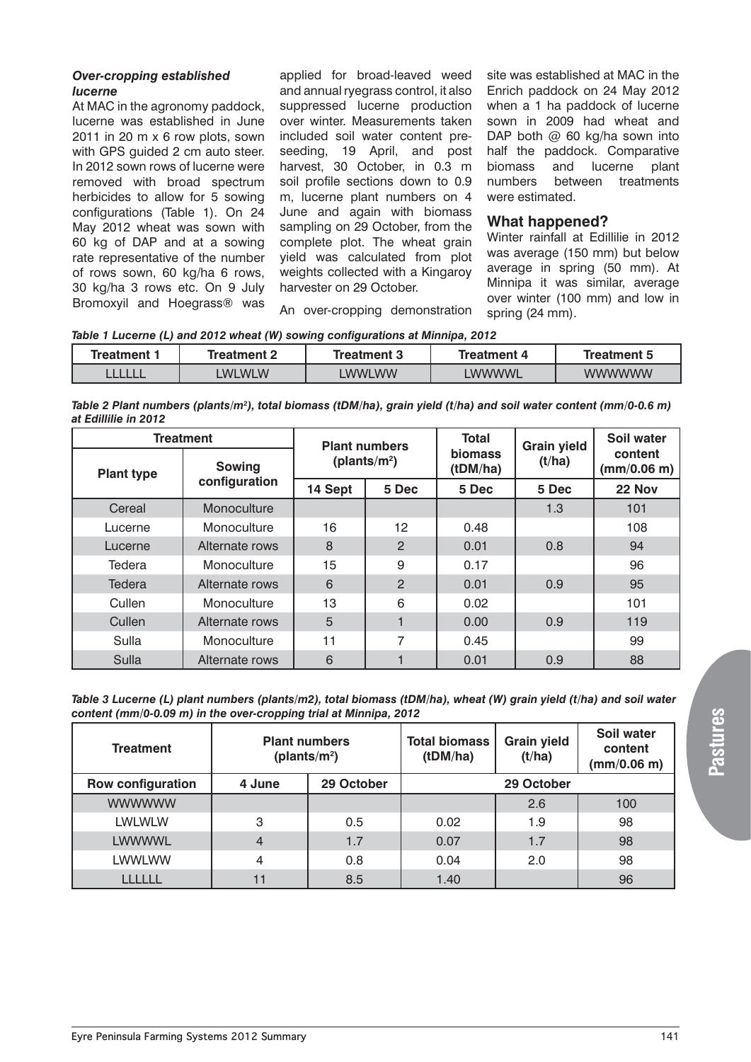#### *Over-cropping established lucerne*

At MAC in the agronomy paddock, lucerne was established in June 2011 in 20 m x 6 row plots, sown with GPS guided 2 cm auto steer. In 2012 sown rows of lucerne were removed with broad spectrum herbicides to allow for 5 sowing configurations (Table 1). On 24 May 2012 wheat was sown with 60 kg of DAP and at a sowing rate representative of the number of rows sown, 60 kg/ha 6 rows, 30 kg/ha 3 rows etc. On 9 July Bromoxyil and Hoegrass® was

applied for broad-leaved weed and annual ryegrass control, it also suppressed lucerne production over winter. Measurements taken included soil water content preseeding, 19 April, and post harvest, 30 October, in 0.3 m soil profile sections down to 0.9 m, lucerne plant numbers on 4 June and again with biomass sampling on 29 October, from the complete plot. The wheat grain yield was calculated from plot weights collected with a Kingaroy harvester on 29 October.

site was established at MAC in the Enrich paddock on 24 May 2012 when a 1 ha paddock of lucerne sown in 2009 had wheat and DAP both  $@$  60 kg/ha sown into half the paddock. Comparative biomass and lucerne plant numbers between treatments were estimated.

#### **What happened?**

Winter rainfall at Edillilie in 2012 was average (150 mm) but below average in spring (50 mm). At Minnipa it was similar, average over winter (100 mm) and low in spring (24 mm).

An over-cropping demonstration

| Table 1 Lucerne (L) and 2012 wheat (W) sowing configurations at Minnipa, 2012 |  |  |  |  |  |
|-------------------------------------------------------------------------------|--|--|--|--|--|
|                                                                               |  |  |  |  |  |
|                                                                               |  |  |  |  |  |

| Treatment 1 | Treatment 2   | Treatment 3  | Treatment 4  | Treatment 5   |  |
|-------------|---------------|--------------|--------------|---------------|--|
|             | <b>LWLWLW</b> | <b>WWLWW</b> | <b>WWWWL</b> | <b>WWWWWW</b> |  |

*Table 2 Plant numbers (plants/m2 ), total biomass (tDM/ha), grain yield (t/ha) and soil water content (mm/0-0.6 m) at Edillilie in 2012*

| <b>Treatment</b>  | <b>Plant numbers</b> |                          | <b>Total</b> | <b>Grain yield</b>         | Soil water |                        |
|-------------------|----------------------|--------------------------|--------------|----------------------------|------------|------------------------|
| <b>Plant type</b> | <b>Sowing</b>        | (plants/m <sup>2</sup> ) |              | <b>biomass</b><br>(tDM/ha) | (t/ha)     | content<br>(mm/0.06 m) |
|                   | configuration        | 14 Sept                  | 5 Dec        | 5 Dec                      | 5 Dec      | 22 Nov                 |
| Cereal            | Monoculture          |                          |              |                            | 1.3        | 101                    |
| Lucerne           | Monoculture          | 16                       | 12           | 0.48                       |            | 108                    |
| Lucerne           | Alternate rows       | 8                        | 2            | 0.01                       | 0.8        | 94                     |
| Tedera            | Monoculture          | 15                       | 9            | 0.17                       |            | 96                     |
| Tedera            | Alternate rows       | 6                        | 2            | 0.01                       | 0.9        | 95                     |
| Cullen            | Monoculture          | 13                       | 6            | 0.02                       |            | 101                    |
| Cullen            | Alternate rows       | 5                        | 1            | 0.00                       | 0.9        | 119                    |
| Sulla             | Monoculture          | 11                       | 7            | 0.45                       |            | 99                     |
| Sulla             | Alternate rows       | 6                        | ┫            | 0.01                       | 0.9        | 88                     |

*Table 3 Lucerne (L) plant numbers (plants/m2), total biomass (tDM/ha), wheat (W) grain yield (t/ha) and soil water content (mm/0-0.09 m) in the over-cropping trial at Minnipa, 2012*

| <b>Treatment</b>         | <b>Plant numbers</b><br>(plants/ $m^2$ ) |            | <b>Total biomass</b><br><b>Grain yield</b><br>(tDM/ha)<br>(t/ha) |     | Soil water<br>content<br>(mm/0.06 m) |
|--------------------------|------------------------------------------|------------|------------------------------------------------------------------|-----|--------------------------------------|
| <b>Row configuration</b> | 4 June                                   | 29 October |                                                                  |     |                                      |
| <b>WWWWWW</b>            |                                          |            |                                                                  | 2.6 | 100                                  |
| <b>LWLWLW</b>            | 3                                        | 0.5        | 0.02                                                             | 1.9 | 98                                   |
| <b>LWWWWL</b>            | 4                                        | 1.7        | 0.07                                                             | 1.7 | 98                                   |
| <b>LWWLWW</b>            | 4                                        | 0.8        | 0.04                                                             | 2.0 | 98                                   |
|                          | 11                                       | 8.5        | 1.40                                                             |     | 96                                   |